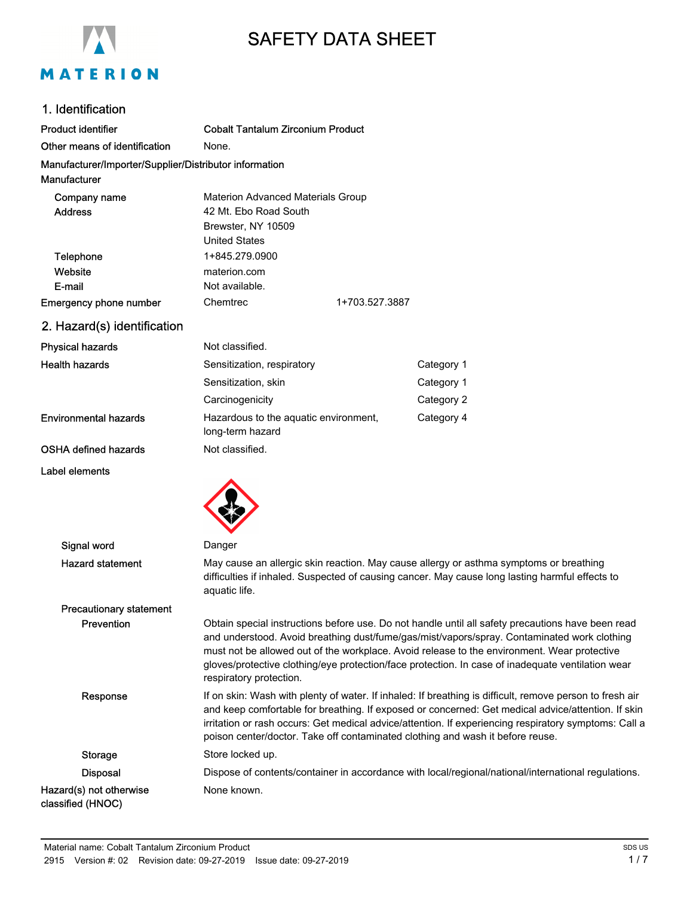

# SAFETY DATA SHEET

# 1. Identification

| Product identifier                                     | <b>Cobalt Tantalum Zirconium Product</b>                  |                |
|--------------------------------------------------------|-----------------------------------------------------------|----------------|
| Other means of identification                          | None.                                                     |                |
| Manufacturer/Importer/Supplier/Distributor information |                                                           |                |
| Manufacturer                                           |                                                           |                |
| Company name                                           | Materion Advanced Materials Group                         |                |
| <b>Address</b>                                         | 42 Mt. Ebo Road South                                     |                |
|                                                        | Brewster, NY 10509                                        |                |
|                                                        | <b>United States</b>                                      |                |
| Telephone                                              | 1+845.279.0900                                            |                |
| Website                                                | materion.com                                              |                |
| E-mail                                                 | Not available.                                            |                |
| <b>Emergency phone number</b>                          | Chemtrec                                                  | 1+703.527.3887 |
| 2. Hazard(s) identification                            |                                                           |                |
| Physical hazards                                       | Not classified.                                           |                |
| Health hazards                                         | Sensitization, respiratory                                |                |
|                                                        | Sensitization, skin                                       |                |
|                                                        | Carcinogenicity                                           |                |
| <b>Environmental hazards</b>                           | Hazardous to the aquatic environment,<br>long-term hazard |                |

#### OSHA defined hazards Not classified.

#### Label elements



| Signal word                                  | Danger                                                                                                                                                                                                                                                                                                                                                                                                                          |
|----------------------------------------------|---------------------------------------------------------------------------------------------------------------------------------------------------------------------------------------------------------------------------------------------------------------------------------------------------------------------------------------------------------------------------------------------------------------------------------|
| <b>Hazard statement</b>                      | May cause an allergic skin reaction. May cause allergy or asthma symptoms or breathing<br>difficulties if inhaled. Suspected of causing cancer. May cause long lasting harmful effects to<br>aquatic life.                                                                                                                                                                                                                      |
| <b>Precautionary statement</b>               |                                                                                                                                                                                                                                                                                                                                                                                                                                 |
| <b>Prevention</b>                            | Obtain special instructions before use. Do not handle until all safety precautions have been read<br>and understood. Avoid breathing dust/fume/gas/mist/vapors/spray. Contaminated work clothing<br>must not be allowed out of the workplace. Avoid release to the environment. Wear protective<br>gloves/protective clothing/eye protection/face protection. In case of inadequate ventilation wear<br>respiratory protection. |
| Response                                     | If on skin: Wash with plenty of water. If inhaled: If breathing is difficult, remove person to fresh air<br>and keep comfortable for breathing. If exposed or concerned: Get medical advice/attention. If skin<br>irritation or rash occurs: Get medical advice/attention. If experiencing respiratory symptoms: Call a<br>poison center/doctor. Take off contaminated clothing and wash it before reuse.                       |
| <b>Storage</b>                               | Store locked up.                                                                                                                                                                                                                                                                                                                                                                                                                |
| <b>Disposal</b>                              | Dispose of contents/container in accordance with local/regional/national/international regulations.                                                                                                                                                                                                                                                                                                                             |
| Hazard(s) not otherwise<br>classified (HNOC) | None known.                                                                                                                                                                                                                                                                                                                                                                                                                     |

Category 1 Category 1 Category 2 Category 4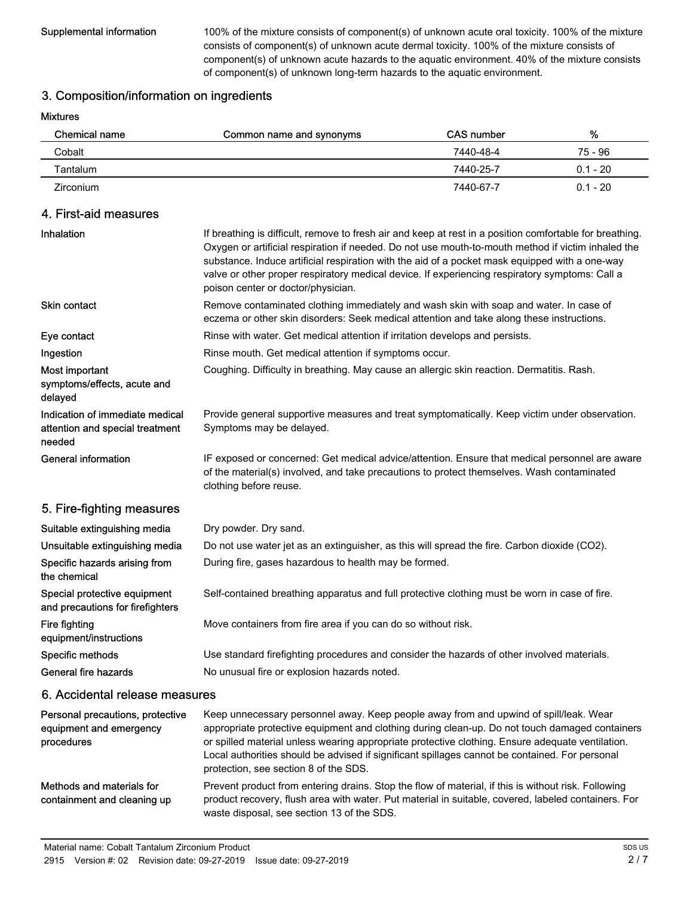Supplemental information 100% of the mixture consists of component(s) of unknown acute oral toxicity. 100% of the mixture consists of component(s) of unknown acute dermal toxicity. 100% of the mixture consists of component(s) of unknown acute hazards to the aquatic environment. 40% of the mixture consists of component(s) of unknown long-term hazards to the aquatic environment.

## 3. Composition/information on ingredients

Mixtures

| Chemical name | Common name and synonyms | CAS number | %          |
|---------------|--------------------------|------------|------------|
| Cobalt        |                          | 7440-48-4  | 75 - 96    |
| Tantalum      |                          | 7440-25-7  | $0.1 - 20$ |
| Zirconium     |                          | 7440-67-7  | $0.1 - 20$ |

## 4. First-aid measures

| Inhalation                                                                   | If breathing is difficult, remove to fresh air and keep at rest in a position comfortable for breathing.<br>Oxygen or artificial respiration if needed. Do not use mouth-to-mouth method if victim inhaled the<br>substance. Induce artificial respiration with the aid of a pocket mask equipped with a one-way<br>valve or other proper respiratory medical device. If experiencing respiratory symptoms: Call a<br>poison center or doctor/physician. |
|------------------------------------------------------------------------------|----------------------------------------------------------------------------------------------------------------------------------------------------------------------------------------------------------------------------------------------------------------------------------------------------------------------------------------------------------------------------------------------------------------------------------------------------------|
| <b>Skin contact</b>                                                          | Remove contaminated clothing immediately and wash skin with soap and water. In case of<br>eczema or other skin disorders: Seek medical attention and take along these instructions.                                                                                                                                                                                                                                                                      |
| Eye contact                                                                  | Rinse with water. Get medical attention if irritation develops and persists.                                                                                                                                                                                                                                                                                                                                                                             |
| Ingestion                                                                    | Rinse mouth. Get medical attention if symptoms occur.                                                                                                                                                                                                                                                                                                                                                                                                    |
| Most important<br>symptoms/effects, acute and<br>delayed                     | Coughing. Difficulty in breathing. May cause an allergic skin reaction. Dermatitis. Rash.                                                                                                                                                                                                                                                                                                                                                                |
| Indication of immediate medical<br>attention and special treatment<br>needed | Provide general supportive measures and treat symptomatically. Keep victim under observation.<br>Symptoms may be delayed.                                                                                                                                                                                                                                                                                                                                |
| <b>General information</b>                                                   | IF exposed or concerned: Get medical advice/attention. Ensure that medical personnel are aware<br>of the material(s) involved, and take precautions to protect themselves. Wash contaminated<br>clothing before reuse.                                                                                                                                                                                                                                   |
| 5. Fire-fighting measures                                                    |                                                                                                                                                                                                                                                                                                                                                                                                                                                          |
| Suitable extinguishing media                                                 | Dry powder. Dry sand.                                                                                                                                                                                                                                                                                                                                                                                                                                    |
| Unsuitable extinguishing media                                               | Do not use water jet as an extinguisher, as this will spread the fire. Carbon dioxide (CO2).                                                                                                                                                                                                                                                                                                                                                             |
| Specific hazards arising from<br>the chemical                                | During fire, gases hazardous to health may be formed.                                                                                                                                                                                                                                                                                                                                                                                                    |
| Special protective equipment<br>and precautions for firefighters             | Self-contained breathing apparatus and full protective clothing must be worn in case of fire.                                                                                                                                                                                                                                                                                                                                                            |
| <b>Fire fighting</b><br>equipment/instructions                               | Move containers from fire area if you can do so without risk.                                                                                                                                                                                                                                                                                                                                                                                            |
| Specific methods                                                             | Use standard firefighting procedures and consider the hazards of other involved materials.                                                                                                                                                                                                                                                                                                                                                               |
| General fire hazards                                                         | No unusual fire or explosion hazards noted.                                                                                                                                                                                                                                                                                                                                                                                                              |
| 6. Accidental release measures                                               |                                                                                                                                                                                                                                                                                                                                                                                                                                                          |
| Personal precautions, protective<br>equipment and emergency<br>procedures    | Keep unnecessary personnel away. Keep people away from and upwind of spill/leak. Wear<br>appropriate protective equipment and clothing during clean-up. Do not touch damaged containers<br>or spilled material unless wearing appropriate protective clothing. Ensure adequate ventilation.<br>Local authorities should be advised if significant spillages cannot be contained. For personal<br>protection, see section 8 of the SDS.                   |
| Methods and materials for<br>containment and cleaning up                     | Prevent product from entering drains. Stop the flow of material, if this is without risk. Following<br>product recovery, flush area with water. Put material in suitable, covered, labeled containers. For                                                                                                                                                                                                                                               |

waste disposal, see section 13 of the SDS.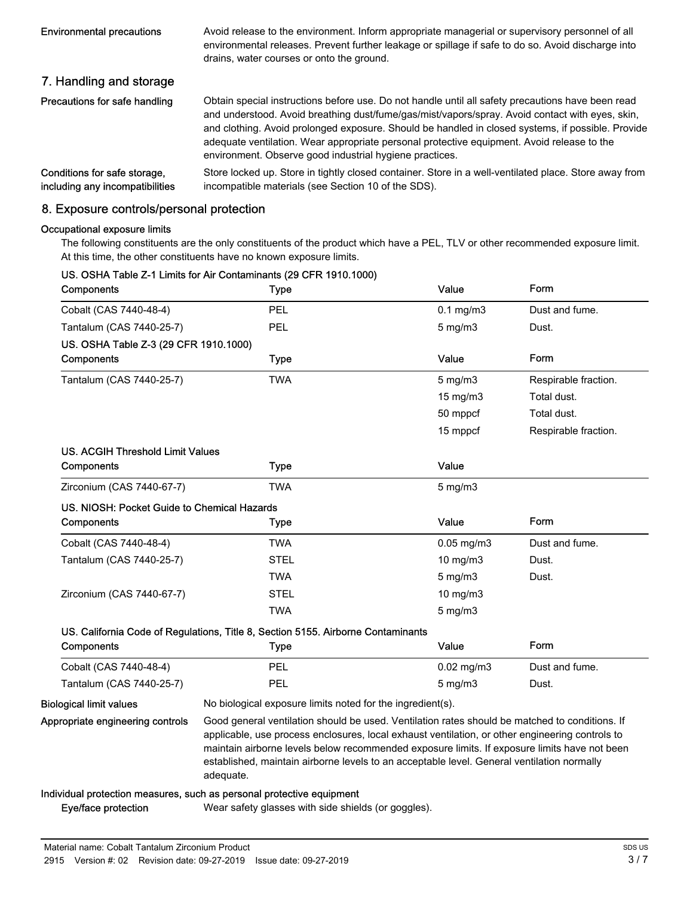| <b>Environmental precautions</b>                                | Avoid release to the environment. Inform appropriate managerial or supervisory personnel of all<br>environmental releases. Prevent further leakage or spillage if safe to do so. Avoid discharge into<br>drains, water courses or onto the ground.                                                                                                                                                                                                                 |
|-----------------------------------------------------------------|--------------------------------------------------------------------------------------------------------------------------------------------------------------------------------------------------------------------------------------------------------------------------------------------------------------------------------------------------------------------------------------------------------------------------------------------------------------------|
| 7. Handling and storage                                         |                                                                                                                                                                                                                                                                                                                                                                                                                                                                    |
| Precautions for safe handling                                   | Obtain special instructions before use. Do not handle until all safety precautions have been read<br>and understood. Avoid breathing dust/fume/gas/mist/vapors/spray. Avoid contact with eyes, skin,<br>and clothing. Avoid prolonged exposure. Should be handled in closed systems, if possible. Provide<br>adequate ventilation. Wear appropriate personal protective equipment. Avoid release to the<br>environment. Observe good industrial hygiene practices. |
| Conditions for safe storage,<br>including any incompatibilities | Store locked up. Store in tightly closed container. Store in a well-ventilated place. Store away from<br>incompatible materials (see Section 10 of the SDS).                                                                                                                                                                                                                                                                                                       |

# 8. Exposure controls/personal protection

#### Occupational exposure limits

The following constituents are the only constituents of the product which have a PEL, TLV or other recommended exposure limit. At this time, the other constituents have no known exposure limits.

| Components                                  | US. OSHA Table Z-1 Limits for Air Contaminants (29 CFR 1910.1000)<br>Type                                                                                                                                                                                                                                                                                                                                    | Value            | Form                 |
|---------------------------------------------|--------------------------------------------------------------------------------------------------------------------------------------------------------------------------------------------------------------------------------------------------------------------------------------------------------------------------------------------------------------------------------------------------------------|------------------|----------------------|
| Cobalt (CAS 7440-48-4)                      | <b>PEL</b>                                                                                                                                                                                                                                                                                                                                                                                                   | $0.1$ mg/m $3$   | Dust and fume.       |
| Tantalum (CAS 7440-25-7)                    | <b>PEL</b>                                                                                                                                                                                                                                                                                                                                                                                                   | $5$ mg/m $3$     | Dust.                |
| US. OSHA Table Z-3 (29 CFR 1910.1000)       |                                                                                                                                                                                                                                                                                                                                                                                                              |                  |                      |
| Components                                  | <b>Type</b>                                                                                                                                                                                                                                                                                                                                                                                                  | Value            | Form                 |
| Tantalum (CAS 7440-25-7)                    | <b>TWA</b>                                                                                                                                                                                                                                                                                                                                                                                                   | $5 \text{ mg/m}$ | Respirable fraction. |
|                                             |                                                                                                                                                                                                                                                                                                                                                                                                              | 15 mg/m3         | Total dust.          |
|                                             |                                                                                                                                                                                                                                                                                                                                                                                                              | 50 mppcf         | Total dust.          |
|                                             |                                                                                                                                                                                                                                                                                                                                                                                                              | 15 mppcf         | Respirable fraction. |
| US. ACGIH Threshold Limit Values            |                                                                                                                                                                                                                                                                                                                                                                                                              |                  |                      |
| Components                                  | <b>Type</b>                                                                                                                                                                                                                                                                                                                                                                                                  | Value            |                      |
| Zirconium (CAS 7440-67-7)                   | <b>TWA</b>                                                                                                                                                                                                                                                                                                                                                                                                   | $5$ mg/m $3$     |                      |
| US. NIOSH: Pocket Guide to Chemical Hazards |                                                                                                                                                                                                                                                                                                                                                                                                              |                  |                      |
| Components                                  | <b>Type</b>                                                                                                                                                                                                                                                                                                                                                                                                  | Value            | Form                 |
| Cobalt (CAS 7440-48-4)                      | <b>TWA</b>                                                                                                                                                                                                                                                                                                                                                                                                   | $0.05$ mg/m $3$  | Dust and fume.       |
| Tantalum (CAS 7440-25-7)                    | <b>STEL</b>                                                                                                                                                                                                                                                                                                                                                                                                  | $10$ mg/m $3$    | Dust.                |
|                                             | <b>TWA</b>                                                                                                                                                                                                                                                                                                                                                                                                   | $5$ mg/m $3$     | Dust.                |
| Zirconium (CAS 7440-67-7)                   | <b>STEL</b>                                                                                                                                                                                                                                                                                                                                                                                                  | 10 mg/m3         |                      |
|                                             | TWA                                                                                                                                                                                                                                                                                                                                                                                                          | $5$ mg/m $3$     |                      |
|                                             | US. California Code of Regulations, Title 8, Section 5155. Airborne Contaminants                                                                                                                                                                                                                                                                                                                             |                  |                      |
| Components                                  | <b>Type</b>                                                                                                                                                                                                                                                                                                                                                                                                  | Value            | Form                 |
| Cobalt (CAS 7440-48-4)                      | PEL                                                                                                                                                                                                                                                                                                                                                                                                          | $0.02$ mg/m $3$  | Dust and fume.       |
| Tantalum (CAS 7440-25-7)                    | PEL                                                                                                                                                                                                                                                                                                                                                                                                          | $5$ mg/m $3$     | Dust.                |
| <b>Biological limit values</b>              | No biological exposure limits noted for the ingredient(s).                                                                                                                                                                                                                                                                                                                                                   |                  |                      |
| Appropriate engineering controls            | Good general ventilation should be used. Ventilation rates should be matched to conditions. If<br>applicable, use process enclosures, local exhaust ventilation, or other engineering controls to<br>maintain airborne levels below recommended exposure limits. If exposure limits have not been<br>established, maintain airborne levels to an acceptable level. General ventilation normally<br>adequate. |                  |                      |
|                                             | Individual protection measures, such as personal protective equipment                                                                                                                                                                                                                                                                                                                                        |                  |                      |
| Eye/face protection                         | Wear safety glasses with side shields (or goggles).                                                                                                                                                                                                                                                                                                                                                          |                  |                      |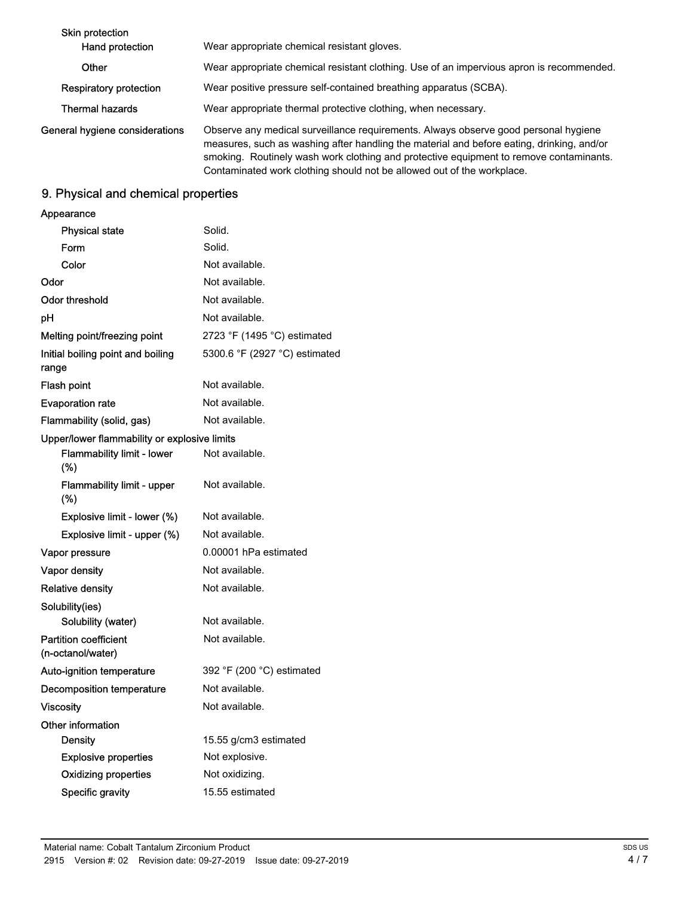| Skin protection<br>Hand protection | Wear appropriate chemical resistant gloves.                                                                                                                                                                                                                                |
|------------------------------------|----------------------------------------------------------------------------------------------------------------------------------------------------------------------------------------------------------------------------------------------------------------------------|
| Other                              | Wear appropriate chemical resistant clothing. Use of an impervious apron is recommended.                                                                                                                                                                                   |
| Respiratory protection             | Wear positive pressure self-contained breathing apparatus (SCBA).                                                                                                                                                                                                          |
| Thermal hazards                    | Wear appropriate thermal protective clothing, when necessary.                                                                                                                                                                                                              |
| General hygiene considerations     | Observe any medical surveillance requirements. Always observe good personal hygiene<br>measures, such as washing after handling the material and before eating, drinking, and/or<br>smoking. Routinely wash work clothing and protective equipment to remove contaminants. |

Contaminated work clothing should not be allowed out of the workplace.

# 9. Physical and chemical properties

## Appearance

| <b>Physical state</b>                             | Solid.                                      |
|---------------------------------------------------|---------------------------------------------|
| Form                                              | Solid.                                      |
| Color                                             | Not available.                              |
| Odor                                              | Not available.                              |
| <b>Odor threshold</b>                             | Not available.                              |
| рH                                                | Not available.                              |
| Melting point/freezing point                      | 2723 °F (1495 °C) estimated                 |
| Initial boiling point and boiling<br>range        | 5300.6 °F (2927 °C) estimated               |
| Flash point                                       | Not available.                              |
| <b>Evaporation rate</b>                           | Not available.                              |
| Flammability (solid, gas)                         | Not available.                              |
| Upper/lower flammability or explosive limits      |                                             |
| <b>Flammability limit - lower</b><br>(%)          | Not available.                              |
| <b>Flammability limit - upper</b><br>$(\%)$       | Not available.                              |
| Explosive limit - lower (%)                       | Not available.                              |
| Explosive limit - upper (%)                       | Not available.                              |
| Vapor pressure                                    | 0.00001 hPa estimated                       |
| Vapor density                                     | Not available.                              |
| <b>Relative density</b>                           | Not available.                              |
| Solubility(ies)                                   |                                             |
| Solubility (water)                                | Not available.                              |
| <b>Partition coefficient</b><br>(n-octanol/water) | Not available.                              |
| Auto-ignition temperature                         | 392 $\degree$ F (200 $\degree$ C) estimated |
| <b>Decomposition temperature</b>                  | Not available.                              |
| Viscosity                                         | Not available.                              |
| Other information                                 |                                             |
| Density                                           | 15.55 g/cm3 estimated                       |
| <b>Explosive properties</b>                       | Not explosive.                              |
| <b>Oxidizing properties</b>                       | Not oxidizing.                              |
| Specific gravity                                  | 15.55 estimated                             |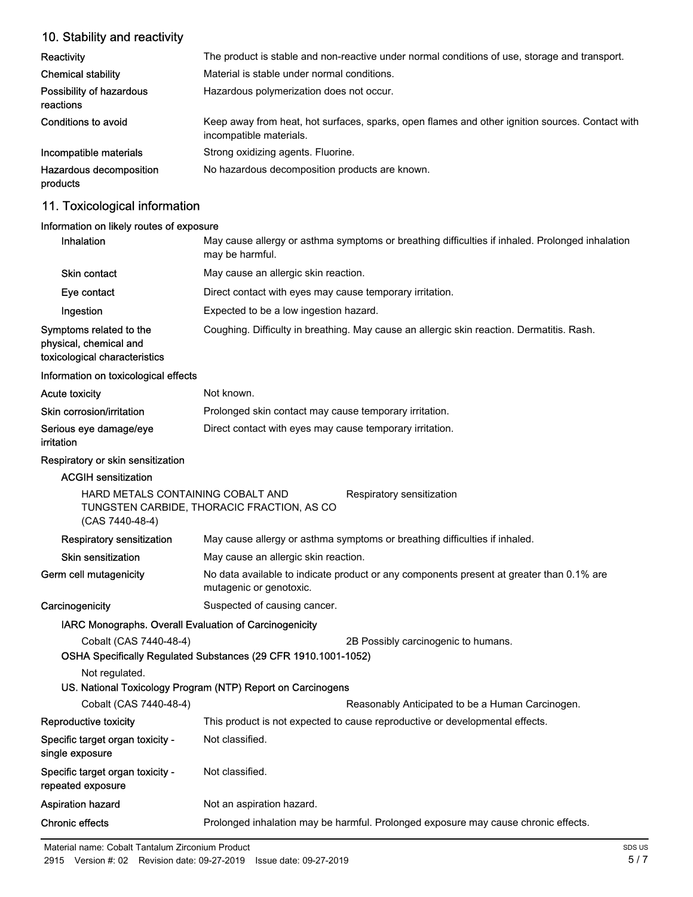# 10. Stability and reactivity

| Reactivity                            | The product is stable and non-reactive under normal conditions of use, storage and transport.                              |
|---------------------------------------|----------------------------------------------------------------------------------------------------------------------------|
| <b>Chemical stability</b>             | Material is stable under normal conditions.                                                                                |
| Possibility of hazardous<br>reactions | Hazardous polymerization does not occur.                                                                                   |
| Conditions to avoid                   | Keep away from heat, hot surfaces, sparks, open flames and other ignition sources. Contact with<br>incompatible materials. |
| Incompatible materials                | Strong oxidizing agents. Fluorine.                                                                                         |
| Hazardous decomposition<br>products   | No hazardous decomposition products are known.                                                                             |

# 11. Toxicological information

## Information on likely routes of exposure

| <b>Inhalation</b>                                                                  | May cause allergy or asthma symptoms or breathing difficulties if inhaled. Prolonged inhalation<br>may be harmful. |
|------------------------------------------------------------------------------------|--------------------------------------------------------------------------------------------------------------------|
| Skin contact                                                                       | May cause an allergic skin reaction.                                                                               |
| Eye contact                                                                        | Direct contact with eyes may cause temporary irritation.                                                           |
| Ingestion                                                                          | Expected to be a low ingestion hazard.                                                                             |
| Symptoms related to the<br>physical, chemical and<br>toxicological characteristics | Coughing. Difficulty in breathing. May cause an allergic skin reaction. Dermatitis. Rash.                          |

#### Information on toxicological effects

| Acute toxicity            | Not known.                                               |
|---------------------------|----------------------------------------------------------|
| Skin corrosion/irritation | Prolonged skin contact may cause temporary irritation.   |
| Serious eye damage/eye    | Direct contact with eyes may cause temporary irritation. |
| irritation                |                                                          |

## Respiratory or skin sensitization

| <b>ACGIH sensitization</b>                             |                                                                                                                     |  |  |
|--------------------------------------------------------|---------------------------------------------------------------------------------------------------------------------|--|--|
| (CAS 7440-48-4)                                        | HARD METALS CONTAINING COBALT AND<br>Respiratory sensitization<br>TUNGSTEN CARBIDE, THORACIC FRACTION, AS CO        |  |  |
| <b>Respiratory sensitization</b>                       | May cause allergy or asthma symptoms or breathing difficulties if inhaled.                                          |  |  |
| <b>Skin sensitization</b>                              | May cause an allergic skin reaction.                                                                                |  |  |
| Germ cell mutagenicity                                 | No data available to indicate product or any components present at greater than 0.1% are<br>mutagenic or genotoxic. |  |  |
| Carcinogenicity                                        | Suspected of causing cancer.                                                                                        |  |  |
| IARC Monographs. Overall Evaluation of Carcinogenicity |                                                                                                                     |  |  |
| Cobalt (CAS 7440-48-4)                                 | 2B Possibly carcinogenic to humans.                                                                                 |  |  |
|                                                        | OSHA Specifically Regulated Substances (29 CFR 1910.1001-1052)                                                      |  |  |
| Not regulated.                                         |                                                                                                                     |  |  |
|                                                        | US. National Toxicology Program (NTP) Report on Carcinogens                                                         |  |  |
| Cobalt (CAS 7440-48-4)                                 | Reasonably Anticipated to be a Human Carcinogen.                                                                    |  |  |
| Reproductive toxicity                                  | This product is not expected to cause reproductive or developmental effects.                                        |  |  |
| Specific target organ toxicity -<br>single exposure    | Not classified.                                                                                                     |  |  |
| Specific target organ toxicity -<br>repeated exposure  | Not classified.                                                                                                     |  |  |
| <b>Aspiration hazard</b>                               | Not an aspiration hazard.                                                                                           |  |  |
| <b>Chronic effects</b>                                 | Prolonged inhalation may be harmful. Prolonged exposure may cause chronic effects.                                  |  |  |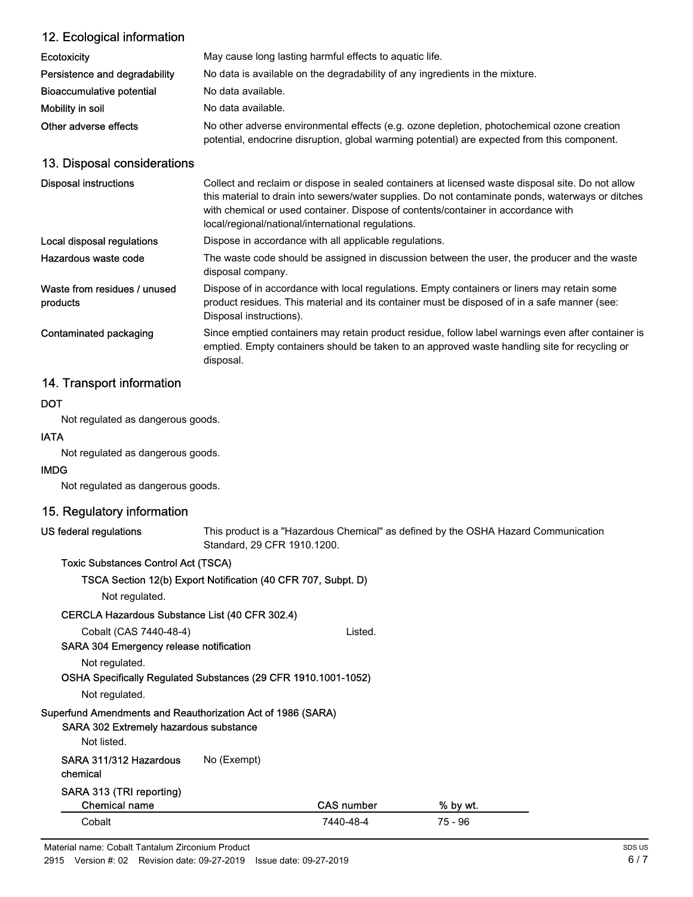| 12. Ecological information               |                                                                                                                                                                                                                                                                                                                                                   |
|------------------------------------------|---------------------------------------------------------------------------------------------------------------------------------------------------------------------------------------------------------------------------------------------------------------------------------------------------------------------------------------------------|
| <b>Ecotoxicity</b>                       | May cause long lasting harmful effects to aquatic life.                                                                                                                                                                                                                                                                                           |
| Persistence and degradability            | No data is available on the degradability of any ingredients in the mixture.                                                                                                                                                                                                                                                                      |
| Bioaccumulative potential                | No data available.                                                                                                                                                                                                                                                                                                                                |
| Mobility in soil                         | No data available.                                                                                                                                                                                                                                                                                                                                |
| Other adverse effects                    | No other adverse environmental effects (e.g. ozone depletion, photochemical ozone creation<br>potential, endocrine disruption, global warming potential) are expected from this component.                                                                                                                                                        |
| 13. Disposal considerations              |                                                                                                                                                                                                                                                                                                                                                   |
| <b>Disposal instructions</b>             | Collect and reclaim or dispose in sealed containers at licensed waste disposal site. Do not allow<br>this material to drain into sewers/water supplies. Do not contaminate ponds, waterways or ditches<br>with chemical or used container. Dispose of contents/container in accordance with<br>local/regional/national/international regulations. |
| Local disposal regulations               | Dispose in accordance with all applicable regulations.                                                                                                                                                                                                                                                                                            |
| Hazardous waste code                     | The waste code should be assigned in discussion between the user, the producer and the waste<br>disposal company.                                                                                                                                                                                                                                 |
| Waste from residues / unused<br>products | Dispose of in accordance with local regulations. Empty containers or liners may retain some<br>product residues. This material and its container must be disposed of in a safe manner (see:<br>Disposal instructions).                                                                                                                            |
| Contaminated packaging                   | Since emptied containers may retain product residue, follow label warnings even after container is<br>emptied. Empty containers should be taken to an approved waste handling site for recycling or<br>disposal.                                                                                                                                  |
|                                          |                                                                                                                                                                                                                                                                                                                                                   |

# 14. Transport information

## **DOT**

Not regulated as dangerous goods.

## IATA

Not regulated as dangerous goods.

### IMDG

Not regulated as dangerous goods.

# 15. Regulatory information

## US federal regulations

This product is a "Hazardous Chemical" as defined by the OSHA Hazard Communication Standard, 29 CFR 1910.1200.

## Toxic Substances Control Act (TSCA)

| TSCA Section 12(b) Export Notification (40 CFR 707, Subpt. D) |  |
|---------------------------------------------------------------|--|
|---------------------------------------------------------------|--|

Not regulated.

## CERCLA Hazardous Substance List (40 CFR 302.4)

Cobalt (CAS 7440-48-4) Listed. SARA 304 Emergency release notification

Not regulated.

# OSHA Specifically Regulated Substances (29 CFR 1910.1001-1052)

Not regulated.

# Superfund Amendments and Reauthorization Act of 1986 (SARA)

# SARA 302 Extremely hazardous substance

Not listed.

SARA 311/312 Hazardous No (Exempt)

chemical

# SARA 313 (TRI reporting)

| Chemical name | CAS number | % by wt. |  |
|---------------|------------|----------|--|
| Cobalt⊹       | 7440-48-4  | 75 - 96  |  |